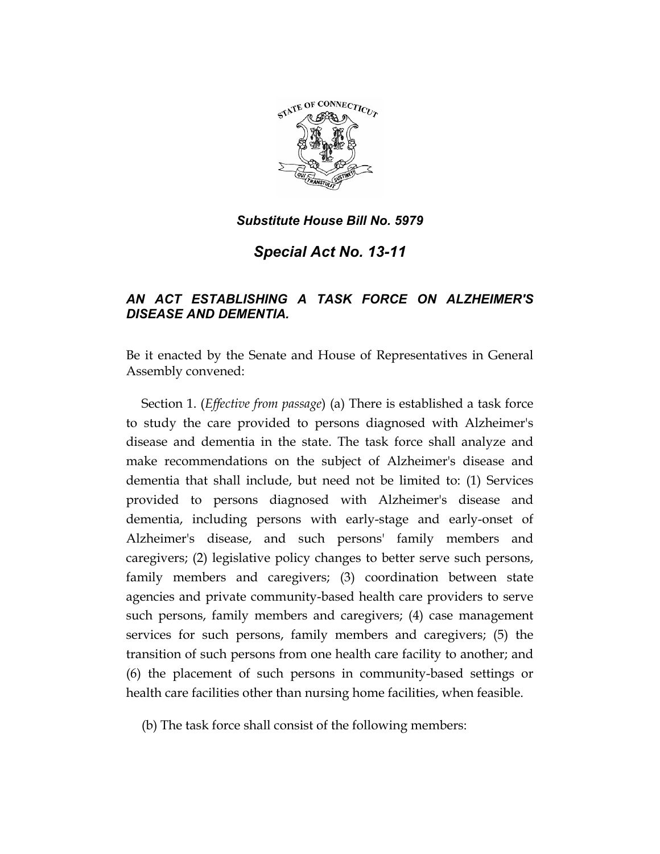

*Special Act No. 13-11* 

## *AN ACT ESTABLISHING A TASK FORCE ON ALZHEIMER'S DISEASE AND DEMENTIA.*

Be it enacted by the Senate and House of Representatives in General Assembly convened:

Section 1. (*Effective from passage*) (a) There is established a task force to study the care provided to persons diagnosed with Alzheimer's disease and dementia in the state. The task force shall analyze and make recommendations on the subject of Alzheimer's disease and dementia that shall include, but need not be limited to: (1) Services provided to persons diagnosed with Alzheimer's disease and dementia, including persons with early-stage and early-onset of Alzheimer's disease, and such persons' family members and caregivers; (2) legislative policy changes to better serve such persons, family members and caregivers; (3) coordination between state agencies and private community-based health care providers to serve such persons, family members and caregivers; (4) case management services for such persons, family members and caregivers; (5) the transition of such persons from one health care facility to another; and (6) the placement of such persons in community-based settings or health care facilities other than nursing home facilities, when feasible.

(b) The task force shall consist of the following members: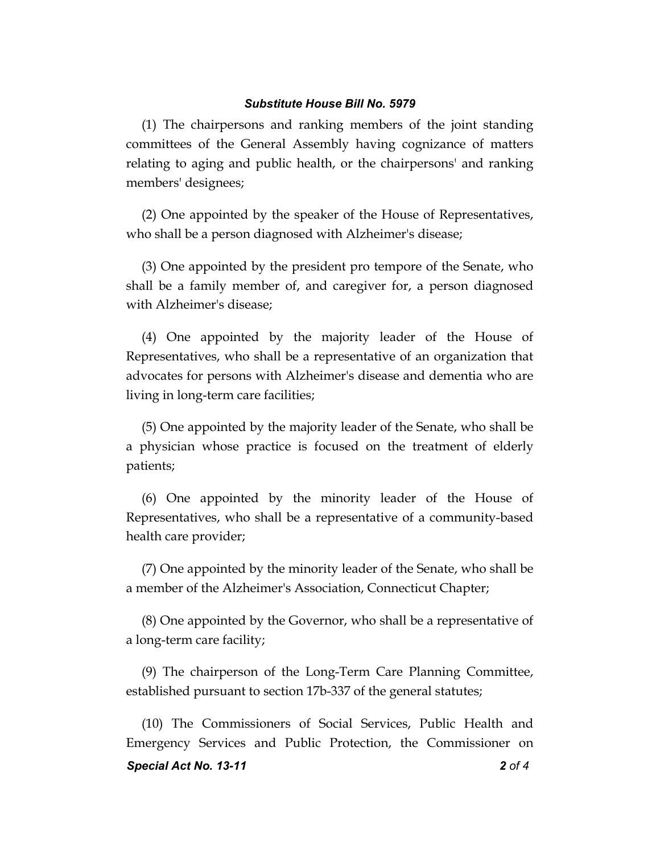(1) The chairpersons and ranking members of the joint standing committees of the General Assembly having cognizance of matters relating to aging and public health, or the chairpersons' and ranking members' designees;

(2) One appointed by the speaker of the House of Representatives, who shall be a person diagnosed with Alzheimer's disease;

(3) One appointed by the president pro tempore of the Senate, who shall be a family member of, and caregiver for, a person diagnosed with Alzheimer's disease;

(4) One appointed by the majority leader of the House of Representatives, who shall be a representative of an organization that advocates for persons with Alzheimer's disease and dementia who are living in long-term care facilities;

(5) One appointed by the majority leader of the Senate, who shall be a physician whose practice is focused on the treatment of elderly patients;

(6) One appointed by the minority leader of the House of Representatives, who shall be a representative of a community-based health care provider;

(7) One appointed by the minority leader of the Senate, who shall be a member of the Alzheimer's Association, Connecticut Chapter;

(8) One appointed by the Governor, who shall be a representative of a long-term care facility;

(9) The chairperson of the Long-Term Care Planning Committee, established pursuant to section 17b-337 of the general statutes;

*Special Act No. 13-11 2 of 4* (10) The Commissioners of Social Services, Public Health and Emergency Services and Public Protection, the Commissioner on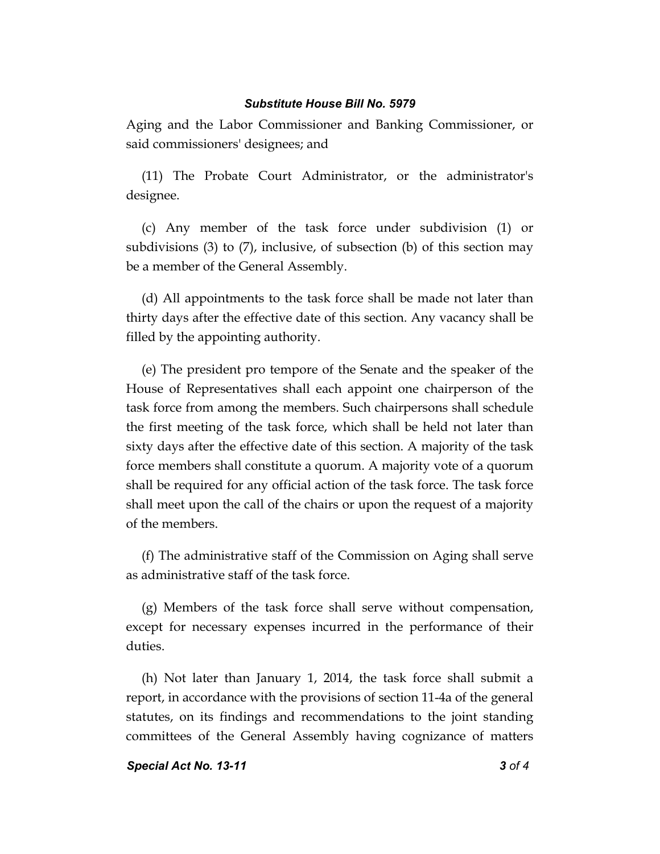Aging and the Labor Commissioner and Banking Commissioner, or said commissioners' designees; and

(11) The Probate Court Administrator, or the administrator's designee.

(c) Any member of the task force under subdivision (1) or subdivisions (3) to (7), inclusive, of subsection (b) of this section may be a member of the General Assembly.

(d) All appointments to the task force shall be made not later than thirty days after the effective date of this section. Any vacancy shall be filled by the appointing authority.

(e) The president pro tempore of the Senate and the speaker of the House of Representatives shall each appoint one chairperson of the task force from among the members. Such chairpersons shall schedule the first meeting of the task force, which shall be held not later than sixty days after the effective date of this section. A majority of the task force members shall constitute a quorum. A majority vote of a quorum shall be required for any official action of the task force. The task force shall meet upon the call of the chairs or upon the request of a majority of the members.

(f) The administrative staff of the Commission on Aging shall serve as administrative staff of the task force.

(g) Members of the task force shall serve without compensation, except for necessary expenses incurred in the performance of their duties.

(h) Not later than January 1, 2014, the task force shall submit a report, in accordance with the provisions of section 11-4a of the general statutes, on its findings and recommendations to the joint standing committees of the General Assembly having cognizance of matters